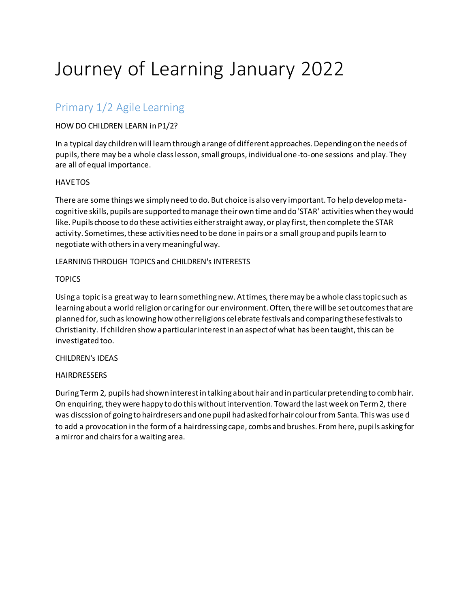# Journey of Learning January 2022

## Primary 1/2 Agile Learning

#### HOW DO CHILDREN LEARN in P1/2?

In a typical day children will learn through a range of different approaches. Depending on the needs of pupils, there may be a whole class lesson, small groups, individual one-to-one sessions and play. They are all of equal importance.

#### **HAVE TOS**

There are some things we simply need to do. But choice is also very important. To help develop metacognitive skills, pupils are supported to manage their own time and do 'STAR' activities when they would like. Pupils choose to do these activities either straight away, or play first, then complete the STAR activity. Sometimes, these activities need to be done in pairs or a small group and pupils learn to negotiate with others in a very meaningful way.

#### LEARNING THROUGH TOPICS and CHILDREN's INTERESTS

#### **TOPICS**

Using a topic is a great way to learn something new. At times, there may be a whole class topic such as learning about a world religion or caring for our environment. Often, there will be set outcomes that are planned for, such as knowing how other religions celebrate festivals and comparing these festivals to Christianity. If children show a particular interest in an aspect of what has been taught, this can be investigated too.

#### CHILDREN's IDEAS

#### **HAIRDRESSERS**

During Term 2, pupils had shown interest in talking about hair and in particular pretending to comb hair. On enquiring, they were happy to do this without intervention. Toward the last week on Term 2, there was discssion of going to hairdresers and one pupil had asked for hair colour from Santa. This was use d to add a provocation in the form of a hairdressing cape, combs and brushes. From here, pupils asking for a mirror and chairs for a waiting area.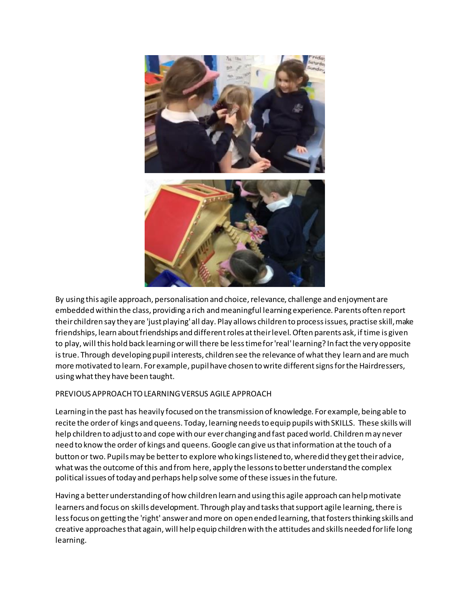

By using this agile approach, personalisation and choice, relevance, challenge and enjoyment are embedded within the class, providing a rich and meaningful learning experience. Parents often report their children say they are 'just playing' all day. Play allows children to process issues, practise skill, make friendships, learn about friendships and different roles at their level. Often parents ask, if time is given to play, will this hold back learning or will there be less time for 'real' learning? In fact the very opposite is true. Through developing pupil interests, children see the relevance of what they learn and are much more motivated to learn. For example, pupil have chosen to write different signs for the Hairdressers, using what they have been taught.

#### PREVIOUS APPROACH TO LEARNING VERSUS AGILE APPROACH

Learning in the past has heavily focused on the transmission of knowledge. For example, being able to recite the order of kings and queens. Today, learning needs to equip pupils with SKILLS. These skills will help children to adjust to and cope with our ever changing and fast paced world. Children may never need to know the order of kings and queens. Google can give us that information at the touch of a button or two. Pupils may be better to explore who kings listened to, where did they get their advice, what was the outcome of this and from here, apply the lessons to better understand the complex political issues of today and perhaps help solve some of these issues in the future.

Having a better understanding of how children learn and using this agile approach can help motivate learners and focus on skills development. Through play and tasks that support agile learning, there is less focus on getting the 'right' answer and more on open ended learning, that fosters thinking skills and creative approaches that again, will help equip children with the attitudes and skills needed for life long learning.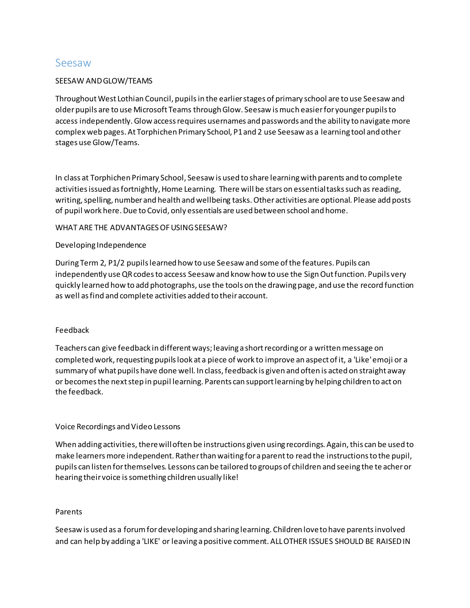### Seesaw

#### SEESAW AND GLOW/TEAMS

Throughout West Lothian Council, pupils in the earlier stages of primary school are to use Seesaw and older pupils are to use Microsoft Teams through Glow. Seesaw is much easier for younger pupils to access independently. Glow access requires usernames and passwords and the ability to navigate more complex web pages. At Torphichen Primary School, P1 and 2 use Seesaw as a learning tool and other stages use Glow/Teams.

In class at Torphichen Primary School, Seesaw is used to share learning with parents and to complete activities issued as fortnightly, Home Learning. There will be stars on essential tasks such as reading, writing, spelling, number and health and wellbeing tasks. Other activities are optional. Please add posts of pupil work here. Due to Covid, only essentials are used between school and home.

#### WHAT ARE THE ADVANTAGES OF USING SEESAW?

#### Developing Independence

During Term 2, P1/2 pupils learned how to use Seesaw and some of the features. Pupils can independently use QR codes to access Seesaw and know how to use the Sign Out function. Pupils very quickly learned how to add photographs, use the tools on the drawing page, and use the record function as well as find and complete activities added to their account.

#### Feedback

Teachers can give feedback in different ways; leaving a short recording or a written message on completed work, requesting pupils look at a piece of work to improve an aspect of it, a 'Like' emoji or a summary of what pupils have done well. In class, feedback is given and often is acted on straight away or becomes the next step in pupil learning. Parents can support learning by helping children to act on the feedback.

#### Voice Recordings and Video Lessons

When adding activities, there will often be instructions given using recordings. Again, this can be used to make learners more independent. Rather than waiting for a parent to read the instructions to the pupil, pupils can listen for themselves. Lessons can be tailored to groups of children and seeing the te acher or hearing their voice is something children usually like!

#### Parents

Seesaw is used as a forum for developing and sharing learning. Children love to have parents involved and can help by adding a 'LIKE' or leaving a positive comment. ALL OTHER ISSUES SHOULD BE RAISED IN